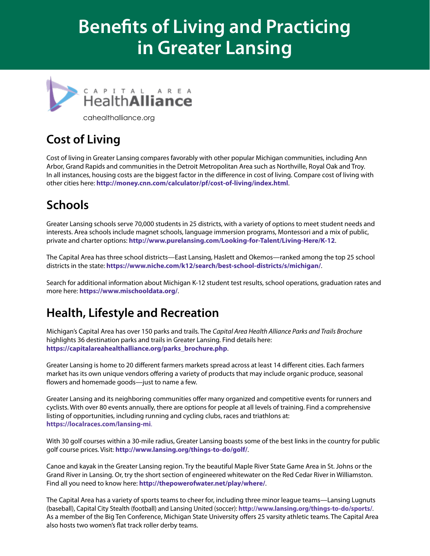# **Benefits of Living and Practicing in Greater Lansing**



cahealthalliance.org

# **Cost of Living**

Cost of living in Greater Lansing compares favorably with other popular Michigan communities, including Ann Arbor, Grand Rapids and communities in the Detroit Metropolitan Area such as Northville, Royal Oak and Troy. In all instances, housing costs are the biggest factor in the difference in cost of living. Compare cost of living with other cities here: **http://money.cnn.com/calculator/pf/cost-of-living/index.html**.

## **Schools**

Greater Lansing schools serve 70,000 students in 25 districts, with a variety of options to meet student needs and interests. Area schools include magnet schools, language immersion programs, Montessori and a mix of public, private and charter options: **http://www.purelansing.com/Looking-for-Talent/Living-Here/K-12**.

The Capital Area has three school districts—East Lansing, Haslett and Okemos—ranked among the top 25 school districts in the state: **https://www.niche.com/k12/search/best-school-districts/s/michigan/**.

Search for additional information about Michigan K-12 student test results, school operations, graduation rates and more here: **https://www.mischooldata.org/**.

## **Health, Lifestyle and Recreation**

Michigan's Capital Area has over 150 parks and trails. The *Capital Area Health Alliance Parks and Trails Brochure* highlights 36 destination parks and trails in Greater Lansing. Find details here: **https://capitalareahealthalliance.org/parks\_brochure.php**.

Greater Lansing is home to 20 different farmers markets spread across at least 14 different cities. Each farmers market has its own unique vendors offering a variety of products that may include organic produce, seasonal flowers and homemade goods—just to name a few.

Greater Lansing and its neighboring communities offer many organized and competitive events for runners and cyclists. With over 80 events annually, there are options for people at all levels of training. Find a comprehensive listing of opportunities, including running and cycling clubs, races and triathlons at: **https://localraces.com/lansing-mi**.

With 30 golf courses within a 30-mile radius, Greater Lansing boasts some of the best links in the country for public golf course prices. Visit: **http://www.lansing.org/things-to-do/golf/**.

Canoe and kayak in the Greater Lansing region. Try the beautiful Maple River State Game Area in St. Johns or the Grand River in Lansing. Or, try the short section of engineered whitewater on the Red Cedar River in Williamston. Find all you need to know here: **http://thepowerofwater.net/play/where/**.

The Capital Area has a variety of sports teams to cheer for, including three minor league teams—Lansing Lugnuts (baseball), Capital City Stealth (football) and Lansing United (soccer): **http://www.lansing.org/things-to-do/sports/**. As a member of the Big Ten Conference, Michigan State University offers 25 varsity athletic teams. The Capital Area also hosts two women's flat track roller derby teams.